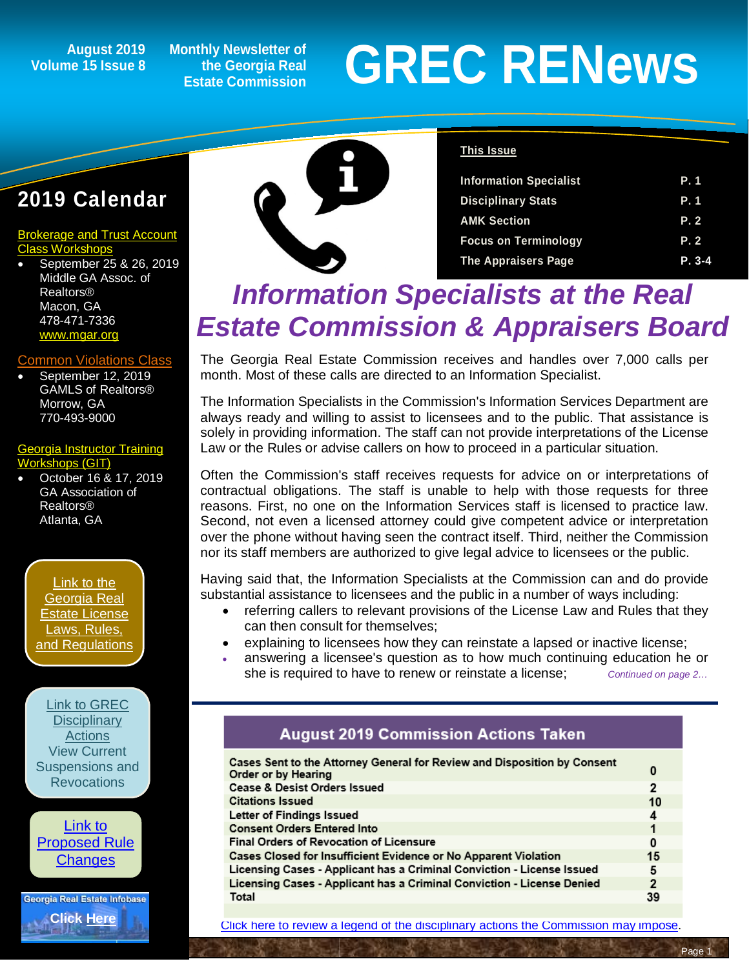## **Volume 15 Issue 8**

**Monthly Newsletter of the Georgia Real Estate Commission**

# August 2019 Monthly Newsletter of<br> **GREC RENEWS**<br>
Estate Commission

### **2019 Calendar**

[Brokerage and Trust Account](https://www.grec.state.ga.us/PDFS/About/2019%20Brokerage%20and%20Trust%20Account%20Class%20Schedule%20%20%20%2006%2005%2019.pdf)  [Class Workshops](https://www.grec.state.ga.us/PDFS/About/2019%20Brokerage%20and%20Trust%20Account%20Class%20Schedule%20%20%20%2006%2005%2019.pdf)

• September 25 & 26, 2019 Middle GA Assoc. of Realtors® Macon, GA 478-471-7336 [www.mgar.org](http://www.mgar.org/)

#### [Common Violations Class](https://www.grec.state.ga.us/PDFS/About/newsarticles/2019%20Course%20Dates%20and%20Locations_.pdf)

• September 12, 2019 GAMLS of Realtors® Morrow, GA 770-493-9000

#### [Georgia Instructor Training](http://www.grec-git.com/Instructor-Training/Current-GIT-Class-Schedule)  kshops (GIT)

• October 16 & 17, 2019 GA Association of Realtors® Atlanta, GA

[Link to the](http://www.grec.state.ga.us/about/relaw.html)  [Georgia Real](http://www.grec.state.ga.us/about/relaw.html)  [Estate License](http://www.grec.state.ga.us/about/relaw.html)  [Laws, Rules,](http://www.grec.state.ga.us/about/relaw.html)  [and Regulations](http://www.grec.state.ga.us/about/relaw.html)

[Link to GREC](http://www.grec.state.ga.us/about/resanctions.html)  **Disciplinary [Actions](http://www.grec.state.ga.us/about/resanctions.html)** View Current [Suspensions and](http://www.grec.state.ga.us/about/resanctions.html)  **Revocations** 



Georgia Real Estate Infobase **[Click Here](https://www.grec.state.ga.us/infobase/infobase.html)**



#### **This Issue**

| <b>Information Specialist</b> | <b>P.1</b> |
|-------------------------------|------------|
| <b>Disciplinary Stats</b>     | <b>P.1</b> |
| <b>AMK Section</b>            | P.2        |
| <b>Focus on Terminology</b>   | P.2        |
| <b>The Appraisers Page</b>    | $P. 3-4$   |

## *Information Specialists at the Real Estate Commission & Appraisers Board*

The Georgia Real Estate Commission receives and handles over 7,000 calls per month. Most of these calls are directed to an Information Specialist.

The Information Specialists in the Commission's Information Services Department are always ready and willing to assist to licensees and to the public. That assistance is solely in providing information. The staff can not provide interpretations of the License Law or the Rules or advise callers on how to proceed in a particular situation.

Often the Commission's staff receives requests for advice on or interpretations of contractual obligations. The staff is unable to help with those requests for three reasons. First, no one on the Information Services staff is licensed to practice law. Second, not even a licensed attorney could give competent advice or interpretation over the phone without having seen the contract itself. Third, neither the Commission nor its staff members are authorized to give legal advice to licensees or the public.

Having said that, the Information Specialists at the Commission can and do provide substantial assistance to licensees and the public in a number of ways including:

- referring callers to relevant provisions of the License Law and Rules that they can then consult for themselves;
- explaining to licensees how they can reinstate a lapsed or inactive license;
- answering a licensee's question as to how much continuing education he or she is required to have to renew or reinstate a license; *Continued on page 2…*

#### **August 2019 Commission Actions Taken**

| Cases Sent to the Attorney General for Review and Disposition by Consent<br>Order or by Hearing | 0              |
|-------------------------------------------------------------------------------------------------|----------------|
| <b>Cease &amp; Desist Orders Issued</b>                                                         | 2              |
| <b>Citations Issued</b>                                                                         | 10             |
| Letter of Findings Issued                                                                       | 4              |
| <b>Consent Orders Entered Into</b>                                                              | 1              |
| <b>Final Orders of Revocation of Licensure</b>                                                  | 0              |
| Cases Closed for Insufficient Evidence or No Apparent Violation                                 | 15             |
| Licensing Cases - Applicant has a Criminal Conviction - License Issued                          | 5              |
| Licensing Cases - Applicant has a Criminal Conviction - License Denied                          | $\overline{2}$ |
| Total                                                                                           | 39             |
|                                                                                                 |                |

[Click here to review a legend of the disciplinary actions the Commission may impose.](https://www.jmre.com/grec/GRECDisciplinaryTools.pdf)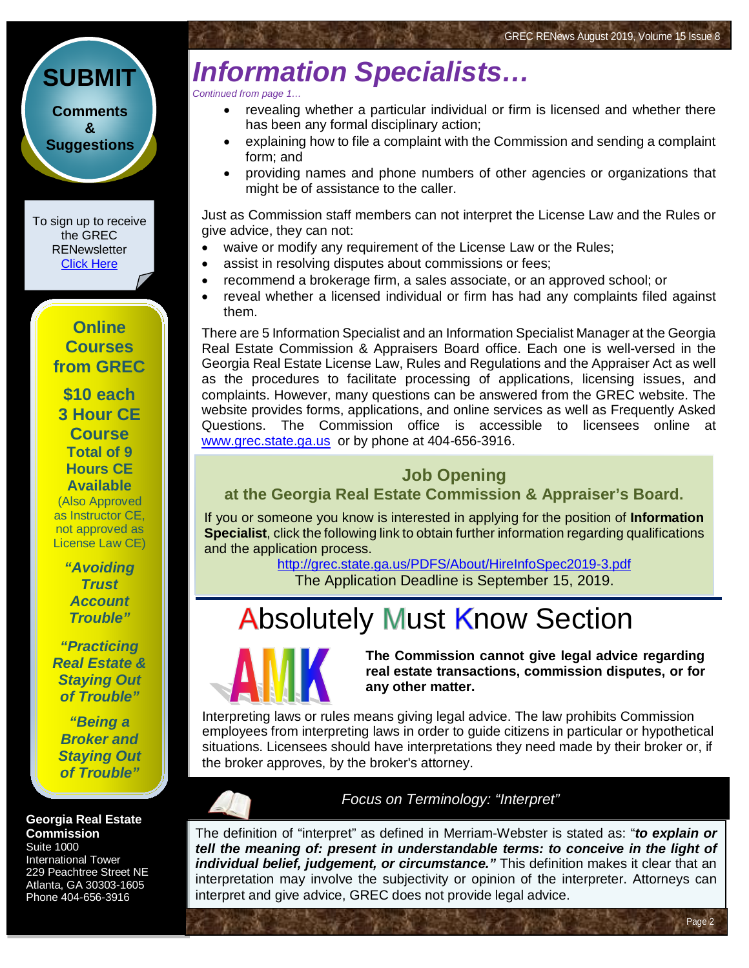## *Information Specialists…*

*Continued from page 1…*

- revealing whether a particular individual or firm is licensed and whether there has been any formal disciplinary action;
- explaining how to file a complaint with the Commission and sending a complaint form; and
- providing names and phone numbers of other agencies or organizations that might be of assistance to the caller.

Just as Commission staff members can not interpret the License Law and the Rules or give advice, they can not:

- waive or modify any requirement of the License Law or the Rules;
- assist in resolving disputes about commissions or fees;
- recommend a brokerage firm, a sales associate, or an approved school; or
- reveal whether a licensed individual or firm has had any complaints filed against them.

There are 5 Information Specialist and an Information Specialist Manager at the Georgia Real Estate Commission & Appraisers Board office. Each one is well-versed in the Georgia Real Estate License Law, Rules and Regulations and the Appraiser Act as well as the procedures to facilitate processing of applications, licensing issues, and complaints. However, many questions can be answered from the GREC website. The website provides forms, applications, and online services as well as Frequently Asked Questions. The Commission office is accessible to licensees online at [www.grec.state.ga.us](http://www.grec.state.ga.us/) or by phone at 404-656-3916.

#### **Job Opening at the Georgia Real Estate Commission & Appraiser's Board.**

If you or someone you know is interested in applying for the position of **Information Specialist**, click the following link to obtain further information regarding qualifications and the application process.

<http://grec.state.ga.us/PDFS/About/HireInfoSpec2019-3.pdf> The Application Deadline is September 15, 2019.

### **Absolutely Must Know Section**



ŀ

**The Commission cannot give legal advice regarding real estate transactions, commission disputes, or for any other matter.**

Page 2

Interpreting laws or rules means giving legal advice. The law prohibits Commission employees from interpreting laws in order to guide citizens in particular or hypothetical situations. Licensees should have interpretations they need made by their broker or, if the broker approves, by the broker's attorney.

#### **Georgia Real Estate Commission**

Suite 1000 International Tower 229 Peachtree Street NE Atlanta, GA 30303-1605 Phone 404-656-3916

#### *Focus on Terminology: "Interpret"*

The definition of "interpret" as defined in Merriam-Webster is stated as: "*to explain or tell the meaning of: present in understandable terms: to conceive in the light of individual belief, judgement, or circumstance."* This definition makes it clear that an interpretation may involve the subjectivity or opinion of the interpreter. Attorneys can interpret and g[ive advice, GREC does not provide legal advice.](https://www.merriam-webster.com/dictionary/interpret)

**[Comments](http://www.jmre.com/grecrenewscomments2014.htm) [&](http://www.jmre.com/grecrenewscomments2014.htm) [Suggestions](http://www.jmre.com/grecrenewscomments2014.htm)**

**[SUBMIT](http://www.jmre.com/grecrenewscomments2014.htm)**

To sign up to receive the GREC **RENewsletter** [Click Here](https://www.grec.state.ga.us/about/subscribe.html)

> **Online Courses from GREC**

**[\\$10 each](http://www.jmre.com/grec) [3 Hour CE](http://www.jmre.com/grec)  [Course](http://www.jmre.com/grec) [Total of 9](http://www.jmre.com/grec)  [Hours CE](http://www.jmre.com/grec)  [Available](http://www.jmre.com/grec)** [\(Also Approved](http://www.jmre.com/grec)  [as Instructor CE,](http://www.jmre.com/grec) 

[not approved as](http://www.jmre.com/grec)  [License Law CE\)](http://www.jmre.com/grec)

> *["Avoiding](http://www.jmre.com/grec)  [Trust](http://www.jmre.com/grec)  [Account](http://www.jmre.com/grec)  [Trouble"](http://www.jmre.com/grec)*

*["Practicing](http://www.jmre.com/grec)  [Real Estate &](http://www.jmre.com/grec)  [Staying Out](http://www.jmre.com/grec)  [of Trouble"](http://www.jmre.com/grec)*

*["Being a](http://www.jmre.com/grec)  [Broker and](http://www.jmre.com/grec)  [Staying Out](http://www.jmre.com/grec)  [of Trouble"](http://www.jmre.com/grec)*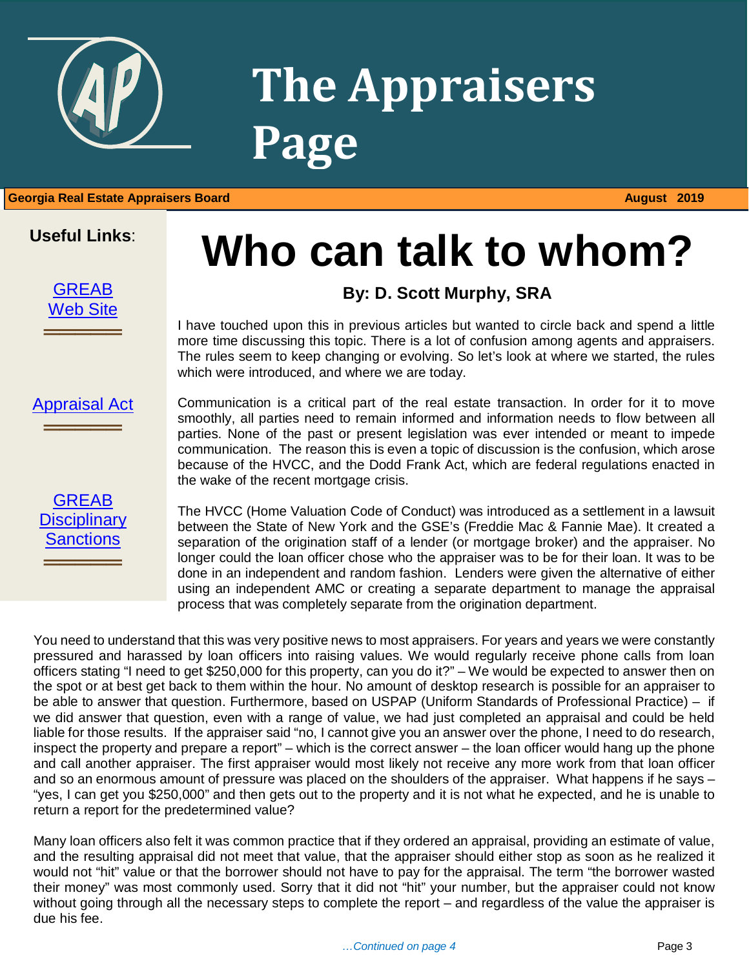

## **The Appraisers Page**

#### 1 **Georgia Real Estate Appraisers Board August 2019**

#### **Useful Links**:

**[GREAB](http://www.grec.state.ga.us/about/greab.html)** [Web Site](http://www.grec.state.ga.us/about/greab.html)

══════════════

## **Who can talk to whom?**

#### **By: D. Scott Murphy, SRA**

I have touched upon this in previous articles but wanted to circle back and spend a little more time discussing this topic. There is a lot of confusion among agents and appraisers. The rules seem to keep changing or evolving. So let's look at where we started, the rules which were introduced, and where we are today.

#### [Appraisal Act](http://www.grec.state.ga.us/about/appraisersact.html) ══════════════



Communication is a critical part of the real estate transaction. In order for it to move smoothly, all parties need to remain informed and information needs to flow between all parties. None of the past or present legislation was ever intended or meant to impede communication. The reason this is even a topic of discussion is the confusion, which arose because of the HVCC, and the Dodd Frank Act, which are federal regulations enacted in the wake of the recent mortgage crisis.

The HVCC (Home Valuation Code of Conduct) was introduced as a settlement in a lawsuit between the State of New York and the GSE's (Freddie Mac & Fannie Mae). It created a separation of the origination staff of a lender (or mortgage broker) and the appraiser. No longer could the loan officer chose who the appraiser was to be for their loan. It was to be done in an independent and random fashion. Lenders were given the alternative of either using an independent AMC or creating a separate department to manage the appraisal process that was completely separate from the origination department.

You need to understand that this was very positive news to most appraisers. For years and years we were constantly pressured and harassed by loan officers into raising values. We would regularly receive phone calls from loan officers stating "I need to get \$250,000 for this property, can you do it?" – We would be expected to answer then on the spot or at best get back to them within the hour. No amount of desktop research is possible for an appraiser to be able to answer that question. Furthermore, based on USPAP (Uniform Standards of Professional Practice) – if we did answer that question, even with a range of value, we had just completed an appraisal and could be held liable for those results. If the appraiser said "no, I cannot give you an answer over the phone, I need to do research, inspect the property and prepare a report" – which is the correct answer – the loan officer would hang up the phone and call another appraiser. The first appraiser would most likely not receive any more work from that loan officer and so an enormous amount of pressure was placed on the shoulders of the appraiser. What happens if he says – "yes, I can get you \$250,000" and then gets out to the property and it is not what he expected, and he is unable to return a report for the predetermined value?

Many loan officers also felt it was common practice that if they ordered an appraisal, providing an estimate of value, and the resulting appraisal did not meet that value, that the appraiser should either stop as soon as he realized it would not "hit" value or that the borrower should not have to pay for the appraisal. The term "the borrower wasted their money" was most commonly used. Sorry that it did not "hit" your number, but the appraiser could not know without going through all the necessary steps to complete the report – and regardless of the value the appraiser is due his fee.